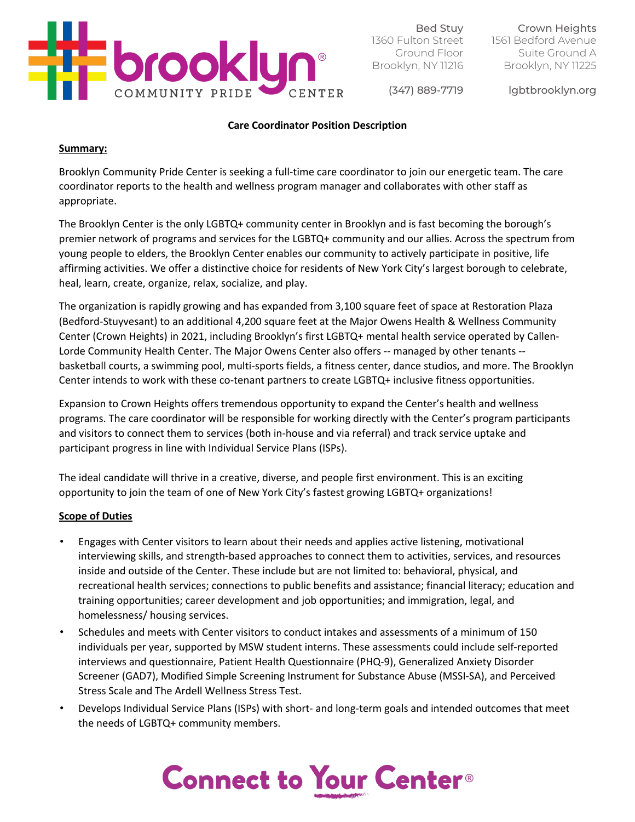

Bed Stuy 1360 Fulton Street Ground Floor Brooklyn, NY 11216

Crown Heights 1561 Bedford Avenue Suite Ground A Brooklyn, NY 11225

(347) 889-7719

lgbtbrooklyn.org

### **Care Coordinator Position Description**

#### **Summary:**

Brooklyn Community Pride Center is seeking a full-time care coordinator to join our energetic team. The care coordinator reports to the health and wellness program manager and collaborates with other staff as appropriate.

The Brooklyn Center is the only LGBTQ+ community center in Brooklyn and is fast becoming the borough's premier network of programs and services for the LGBTQ+ community and our allies. Across the spectrum from young people to elders, the Brooklyn Center enables our community to actively participate in positive, life affirming activities. We offer a distinctive choice for residents of New York City's largest borough to celebrate, heal, learn, create, organize, relax, socialize, and play.

The organization is rapidly growing and has expanded from 3,100 square feet of space at Restoration Plaza (Bedford-Stuyvesant) to an additional 4,200 square feet at the Major Owens Health & Wellness Community Center (Crown Heights) in 2021, including Brooklyn's first LGBTQ+ mental health service operated by Callen-Lorde Community Health Center. The Major Owens Center also offers -- managed by other tenants - basketball courts, a swimming pool, multi-sports fields, a fitness center, dance studios, and more. The Brooklyn Center intends to work with these co-tenant partners to create LGBTQ+ inclusive fitness opportunities.

Expansion to Crown Heights offers tremendous opportunity to expand the Center's health and wellness programs. The care coordinator will be responsible for working directly with the Center's program participants and visitors to connect them to services (both in-house and via referral) and track service uptake and participant progress in line with Individual Service Plans (ISPs).

The ideal candidate will thrive in a creative, diverse, and people first environment. This is an exciting opportunity to join the team of one of New York City's fastest growing LGBTQ+ organizations!

## **Scope of Duties**

- Engages with Center visitors to learn about their needs and applies active listening, motivational interviewing skills, and strength-based approaches to connect them to activities, services, and resources inside and outside of the Center. These include but are not limited to: behavioral, physical, and recreational health services; connections to public benefits and assistance; financial literacy; education and training opportunities; career development and job opportunities; and immigration, legal, and homelessness/ housing services.
- Schedules and meets with Center visitors to conduct intakes and assessments of a minimum of 150 individuals per year, supported by MSW student interns. These assessments could include self-reported interviews and questionnaire, Patient Health Questionnaire (PHQ-9), Generalized Anxiety Disorder Screener (GAD7), Modified Simple Screening Instrument for Substance Abuse (MSSI-SA), and Perceived Stress Scale and The Ardell Wellness Stress Test.
- Develops Individual Service Plans (ISPs) with short- and long-term goals and intended outcomes that meet the needs of LGBTQ+ community members.

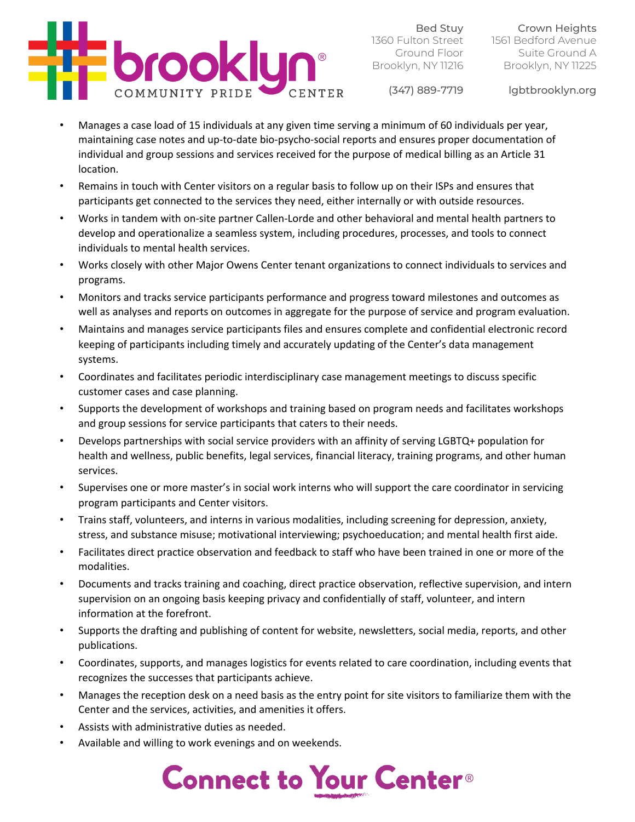

Bed Stuy 1360 Fulton Street Ground Floor Brooklyn, NY 11216

Crown Heights 1561 Bedford Avenue Suite Ground A Brooklyn, NY 11225

(347) 889-7719

lgbtbrooklyn.org

- Manages a case load of 15 individuals at any given time serving a minimum of 60 individuals per year, maintaining case notes and up-to-date bio-psycho-social reports and ensures proper documentation of individual and group sessions and services received for the purpose of medical billing as an Article 31 location.
- Remains in touch with Center visitors on a regular basis to follow up on their ISPs and ensures that participants get connected to the services they need, either internally or with outside resources.
- Works in tandem with on-site partner Callen-Lorde and other behavioral and mental health partners to develop and operationalize a seamless system, including procedures, processes, and tools to connect individuals to mental health services.
- Works closely with other Major Owens Center tenant organizations to connect individuals to services and programs.
- Monitors and tracks service participants performance and progress toward milestones and outcomes as well as analyses and reports on outcomes in aggregate for the purpose of service and program evaluation.
- Maintains and manages service participants files and ensures complete and confidential electronic record keeping of participants including timely and accurately updating of the Center's data management systems.
- Coordinates and facilitates periodic interdisciplinary case management meetings to discuss specific customer cases and case planning.
- Supports the development of workshops and training based on program needs and facilitates workshops and group sessions for service participants that caters to their needs.
- Develops partnerships with social service providers with an affinity of serving LGBTQ+ population for health and wellness, public benefits, legal services, financial literacy, training programs, and other human services.
- Supervises one or more master's in social work interns who will support the care coordinator in servicing program participants and Center visitors.
- Trains staff, volunteers, and interns in various modalities, including screening for depression, anxiety, stress, and substance misuse; motivational interviewing; psychoeducation; and mental health first aide.
- Facilitates direct practice observation and feedback to staff who have been trained in one or more of the modalities.
- Documents and tracks training and coaching, direct practice observation, reflective supervision, and intern supervision on an ongoing basis keeping privacy and confidentially of staff, volunteer, and intern information at the forefront.
- Supports the drafting and publishing of content for website, newsletters, social media, reports, and other publications.
- Coordinates, supports, and manages logistics for events related to care coordination, including events that recognizes the successes that participants achieve.
- Manages the reception desk on a need basis as the entry point for site visitors to familiarize them with the Center and the services, activities, and amenities it offers.
- Assists with administrative duties as needed.
- Available and willing to work evenings and on weekends.